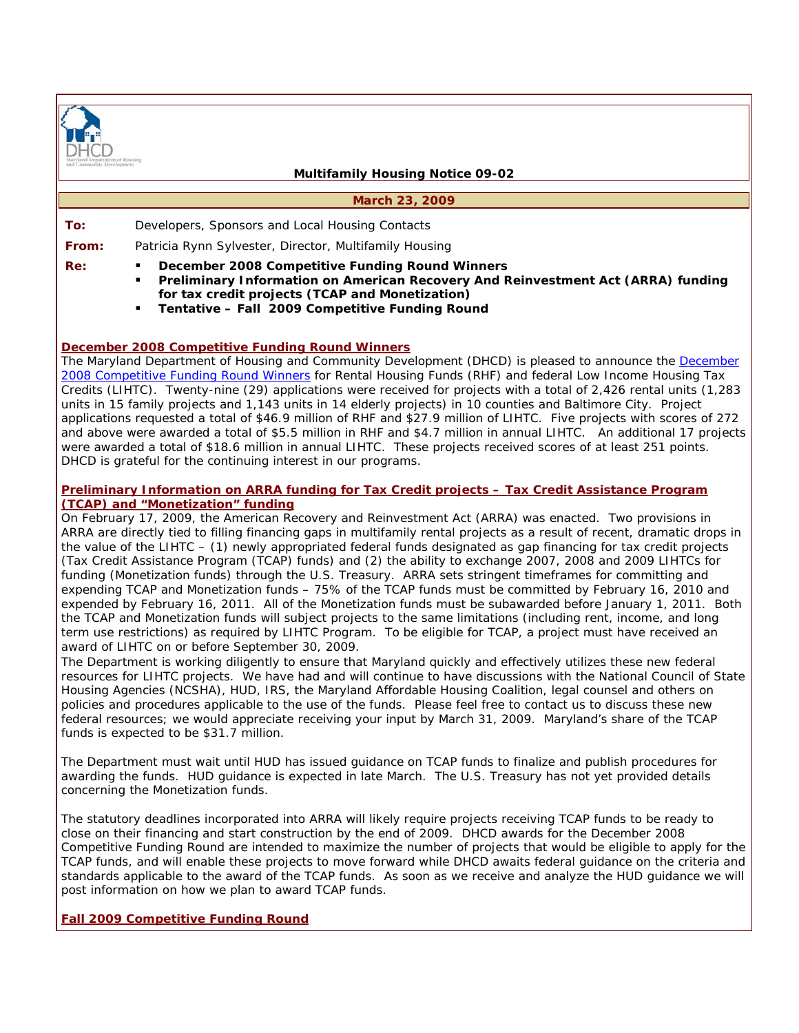

#### **Multifamily Housing Notice 09-02**

#### **March 23, 2009**

**To:** Developers, Sponsors and Local Housing Contacts

**From:** Patricia Rynn Sylvester, Director, Multifamily Housing

**Re:**  *December 2008 Competitive Funding Round Winners* 

- *Preliminary Information on American Recovery And Reinvestment Act (ARRA) funding for tax credit projects (TCAP and Monetization)*
- *Tentative Fall 2009 Competitive Funding Round*

## **December 2008 Competitive Funding Round Winners**

The Maryland Department of Housing and Community Development (DHCD) is pleased to announce the December 2008 Competitive Funding Round Winners for Rental Housing Funds (RHF) and federal Low Income Housing Tax Credits (LIHTC). Twenty-nine (29) applications were received for projects with a total of 2,426 rental units (1,283 units in 15 family projects and 1,143 units in 14 elderly projects) in 10 counties and Baltimore City. Project applications requested a total of \$46.9 million of RHF and \$27.9 million of LIHTC. Five projects with scores of 272 and above were awarded a total of \$5.5 million in RHF and \$4.7 million in annual LIHTC. An additional 17 projects were awarded a total of \$18.6 million in annual LIHTC. These projects received scores of at least 251 points. DHCD is grateful for the continuing interest in our programs.

## **Preliminary Information on ARRA funding for Tax Credit projects – Tax Credit Assistance Program (TCAP) and "Monetization" funding**

On February 17, 2009, the American Recovery and Reinvestment Act (ARRA) was enacted. Two provisions in ARRA are directly tied to filling financing gaps in multifamily rental projects as a result of recent, dramatic drops in the value of the LIHTC – (1) newly appropriated federal funds designated as gap financing for tax credit projects (Tax Credit Assistance Program (TCAP) funds) and (2) the ability to exchange 2007, 2008 and 2009 LIHTCs for funding (Monetization funds) through the U.S. Treasury. ARRA sets stringent timeframes for committing and expending TCAP and Monetization funds – 75% of the TCAP funds must be committed by February 16, 2010 and expended by February 16, 2011. All of the Monetization funds must be subawarded before January 1, 2011. Both the TCAP and Monetization funds will subject projects to the same limitations (including rent, income, and long term use restrictions) as required by LIHTC Program. To be eligible for TCAP, a project must have received an award of LIHTC on or before September 30, 2009.

The Department is working diligently to ensure that Maryland quickly and effectively utilizes these new federal resources for LIHTC projects. We have had and will continue to have discussions with the National Council of State Housing Agencies (NCSHA), HUD, IRS, the Maryland Affordable Housing Coalition, legal counsel and others on policies and procedures applicable to the use of the funds. Please feel free to contact us to discuss these new federal resources; we would appreciate receiving your input by March 31, 2009. Maryland's share of the TCAP funds is expected to be \$31.7 million.

The Department must wait until HUD has issued guidance on TCAP funds to finalize and publish procedures for awarding the funds. HUD guidance is expected in late March. The U.S. Treasury has not yet provided details concerning the Monetization funds.

The statutory deadlines incorporated into ARRA will likely require projects receiving TCAP funds to be ready to close on their financing and start construction by the end of 2009. DHCD awards for the December 2008 Competitive Funding Round are intended to maximize the number of projects that would be eligible to apply for the TCAP funds, and will enable these projects to move forward while DHCD awaits federal guidance on the criteria and standards applicable to the award of the TCAP funds. As soon as we receive and analyze the HUD guidance we will post information on how we plan to award TCAP funds.

# **Fall 2009 Competitive Funding Round**